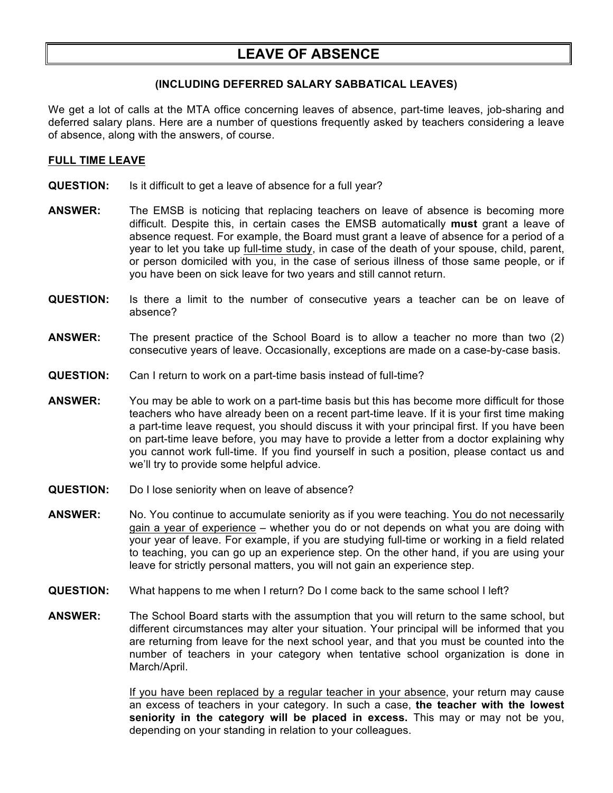# **LEAVE OF ABSENCE**

## **(INCLUDING DEFERRED SALARY SABBATICAL LEAVES)**

We get a lot of calls at the MTA office concerning leaves of absence, part-time leaves, job-sharing and deferred salary plans. Here are a number of questions frequently asked by teachers considering a leave of absence, along with the answers, of course.

## **FULL TIME LEAVE**

- **QUESTION:** Is it difficult to get a leave of absence for a full year?
- **ANSWER:** The EMSB is noticing that replacing teachers on leave of absence is becoming more difficult. Despite this, in certain cases the EMSB automatically **must** grant a leave of absence request. For example, the Board must grant a leave of absence for a period of a year to let you take up full-time study, in case of the death of your spouse, child, parent, or person domiciled with you, in the case of serious illness of those same people, or if you have been on sick leave for two years and still cannot return.
- **QUESTION:** Is there a limit to the number of consecutive years a teacher can be on leave of absence?
- **ANSWER:** The present practice of the School Board is to allow a teacher no more than two (2) consecutive years of leave. Occasionally, exceptions are made on a case-by-case basis.
- **QUESTION:** Can I return to work on a part-time basis instead of full-time?
- **ANSWER:** You may be able to work on a part-time basis but this has become more difficult for those teachers who have already been on a recent part-time leave. If it is your first time making a part-time leave request, you should discuss it with your principal first. If you have been on part-time leave before, you may have to provide a letter from a doctor explaining why you cannot work full-time. If you find yourself in such a position, please contact us and we'll try to provide some helpful advice.
- **QUESTION:** Do I lose seniority when on leave of absence?
- **ANSWER:** No. You continue to accumulate seniority as if you were teaching. You do not necessarily gain a year of experience – whether you do or not depends on what you are doing with your year of leave. For example, if you are studying full-time or working in a field related to teaching, you can go up an experience step. On the other hand, if you are using your leave for strictly personal matters, you will not gain an experience step.
- **QUESTION:** What happens to me when I return? Do I come back to the same school I left?
- **ANSWER:** The School Board starts with the assumption that you will return to the same school, but different circumstances may alter your situation. Your principal will be informed that you are returning from leave for the next school year, and that you must be counted into the number of teachers in your category when tentative school organization is done in March/April.

If you have been replaced by a regular teacher in your absence, your return may cause an excess of teachers in your category. In such a case, **the teacher with the lowest seniority in the category will be placed in excess.** This may or may not be you, depending on your standing in relation to your colleagues.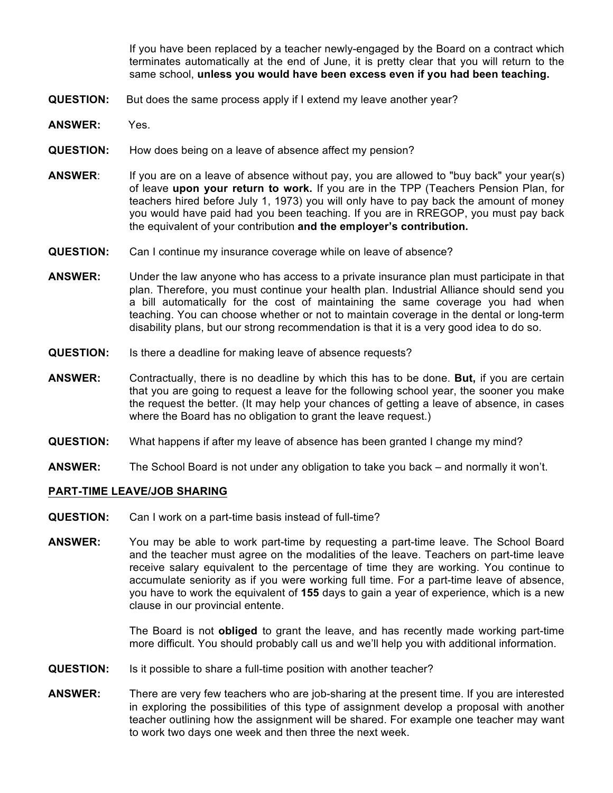If you have been replaced by a teacher newly-engaged by the Board on a contract which terminates automatically at the end of June, it is pretty clear that you will return to the same school, **unless you would have been excess even if you had been teaching.**

- **QUESTION:** But does the same process apply if I extend my leave another year?
- **ANSWER:** Yes.
- **QUESTION:** How does being on a leave of absence affect my pension?
- **ANSWER**: If you are on a leave of absence without pay, you are allowed to "buy back" your year(s) of leave **upon your return to work.** If you are in the TPP (Teachers Pension Plan, for teachers hired before July 1, 1973) you will only have to pay back the amount of money you would have paid had you been teaching. If you are in RREGOP, you must pay back the equivalent of your contribution **and the employer's contribution.**
- **QUESTION:** Can I continue my insurance coverage while on leave of absence?
- **ANSWER:** Under the law anyone who has access to a private insurance plan must participate in that plan. Therefore, you must continue your health plan. Industrial Alliance should send you a bill automatically for the cost of maintaining the same coverage you had when teaching. You can choose whether or not to maintain coverage in the dental or long-term disability plans, but our strong recommendation is that it is a very good idea to do so.
- **QUESTION:** Is there a deadline for making leave of absence requests?
- **ANSWER:** Contractually, there is no deadline by which this has to be done. **But,** if you are certain that you are going to request a leave for the following school year, the sooner you make the request the better. (It may help your chances of getting a leave of absence, in cases where the Board has no obligation to grant the leave request.)
- **QUESTION:** What happens if after my leave of absence has been granted I change my mind?
- **ANSWER:** The School Board is not under any obligation to take you back and normally it won't.

#### **PART-TIME LEAVE/JOB SHARING**

- **QUESTION:** Can I work on a part-time basis instead of full-time?
- **ANSWER:** You may be able to work part-time by requesting a part-time leave. The School Board and the teacher must agree on the modalities of the leave. Teachers on part-time leave receive salary equivalent to the percentage of time they are working. You continue to accumulate seniority as if you were working full time. For a part-time leave of absence, you have to work the equivalent of **155** days to gain a year of experience, which is a new clause in our provincial entente.

The Board is not **obliged** to grant the leave, and has recently made working part-time more difficult. You should probably call us and we'll help you with additional information.

- **QUESTION:** Is it possible to share a full-time position with another teacher?
- **ANSWER:** There are very few teachers who are job-sharing at the present time. If you are interested in exploring the possibilities of this type of assignment develop a proposal with another teacher outlining how the assignment will be shared. For example one teacher may want to work two days one week and then three the next week.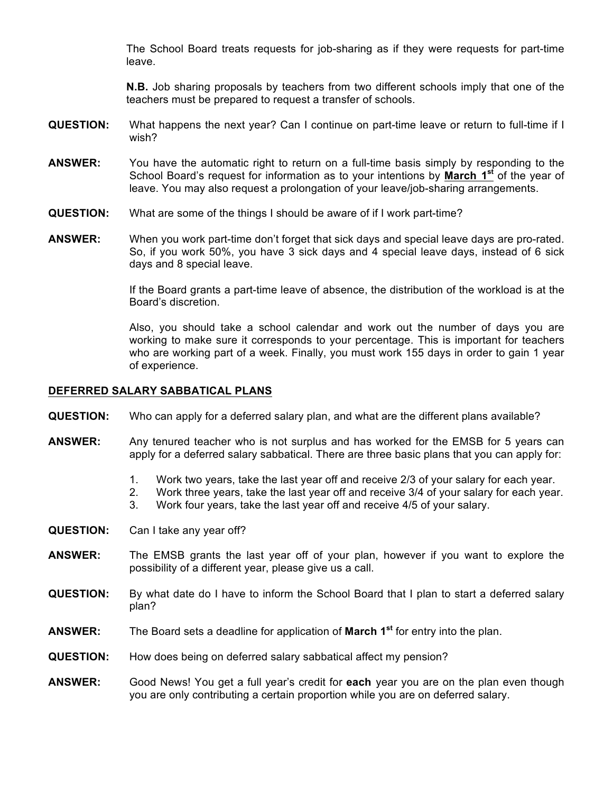The School Board treats requests for job-sharing as if they were requests for part-time leave.

**N.B.** Job sharing proposals by teachers from two different schools imply that one of the teachers must be prepared to request a transfer of schools.

- **QUESTION:** What happens the next year? Can I continue on part-time leave or return to full-time if I wish?
- **ANSWER:** You have the automatic right to return on a full-time basis simply by responding to the School Board's request for information as to your intentions by **March 1st** of the year of leave. You may also request a prolongation of your leave/job-sharing arrangements.
- **QUESTION:** What are some of the things I should be aware of if I work part-time?
- **ANSWER:** When you work part-time don't forget that sick days and special leave days are pro-rated. So, if you work 50%, you have 3 sick days and 4 special leave days, instead of 6 sick days and 8 special leave.

If the Board grants a part-time leave of absence, the distribution of the workload is at the Board's discretion.

Also, you should take a school calendar and work out the number of days you are working to make sure it corresponds to your percentage. This is important for teachers who are working part of a week. Finally, you must work 155 days in order to gain 1 year of experience.

#### **DEFERRED SALARY SABBATICAL PLANS**

- **QUESTION:** Who can apply for a deferred salary plan, and what are the different plans available?
- **ANSWER:** Any tenured teacher who is not surplus and has worked for the EMSB for 5 years can apply for a deferred salary sabbatical. There are three basic plans that you can apply for:
	- 1. Work two years, take the last year off and receive 2/3 of your salary for each year.
	- 2. Work three years, take the last year off and receive 3/4 of your salary for each year.
	- 3. Work four years, take the last year off and receive 4/5 of your salary.
- **QUESTION:** Can I take any year off?
- **ANSWER:** The EMSB grants the last year off of your plan, however if you want to explore the possibility of a different year, please give us a call.
- **QUESTION:** By what date do I have to inform the School Board that I plan to start a deferred salary plan?
- **ANSWER:** The Board sets a deadline for application of **March 1st** for entry into the plan.
- **QUESTION:** How does being on deferred salary sabbatical affect my pension?
- **ANSWER:** Good News! You get a full year's credit for **each** year you are on the plan even though you are only contributing a certain proportion while you are on deferred salary.